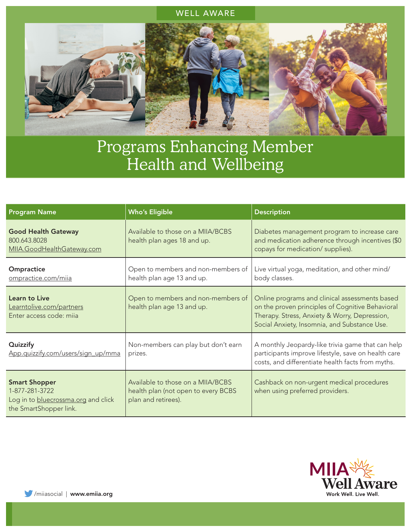## WELL AWARE



## Programs Enhancing Member Health and Wellbeing

| <b>Program Name</b>                                                                                     | <b>Who's Eligible</b>                                                                           | <b>Description</b>                                                                                                                                                                                  |
|---------------------------------------------------------------------------------------------------------|-------------------------------------------------------------------------------------------------|-----------------------------------------------------------------------------------------------------------------------------------------------------------------------------------------------------|
| <b>Good Health Gateway</b><br>800.643.8028<br>MIIA.GoodHealthGateway.com                                | Available to those on a MIIA/BCBS<br>health plan ages 18 and up.                                | Diabetes management program to increase care<br>and medication adherence through incentives (\$0<br>copays for medication/ supplies).                                                               |
| Ompractice<br>ompractice.com/miia                                                                       | Open to members and non-members of<br>health plan age 13 and up.                                | Live virtual yoga, meditation, and other mind/<br>body classes.                                                                                                                                     |
| Learn to Live<br>Learntolive.com/partners<br>Enter access code: mija                                    | Open to members and non-members of<br>health plan age 13 and up.                                | Online programs and clinical assessments based<br>on the proven principles of Cognitive Behavioral<br>Therapy. Stress, Anxiety & Worry, Depression,<br>Social Anxiety, Insomnia, and Substance Use. |
| Quizzify<br>App.quizzify.com/users/sign_up/mma                                                          | Non-members can play but don't earn<br>prizes.                                                  | A monthly Jeopardy-like trivia game that can help<br>participants improve lifestyle, save on health care<br>costs, and differentiate health facts from myths.                                       |
| <b>Smart Shopper</b><br>1-877-281-3722<br>Log in to bluecrossma.org and click<br>the SmartShopper link. | Available to those on a MIIA/BCBS<br>health plan (not open to every BCBS<br>plan and retirees). | Cashback on non-urgent medical procedures<br>when using preferred providers.                                                                                                                        |